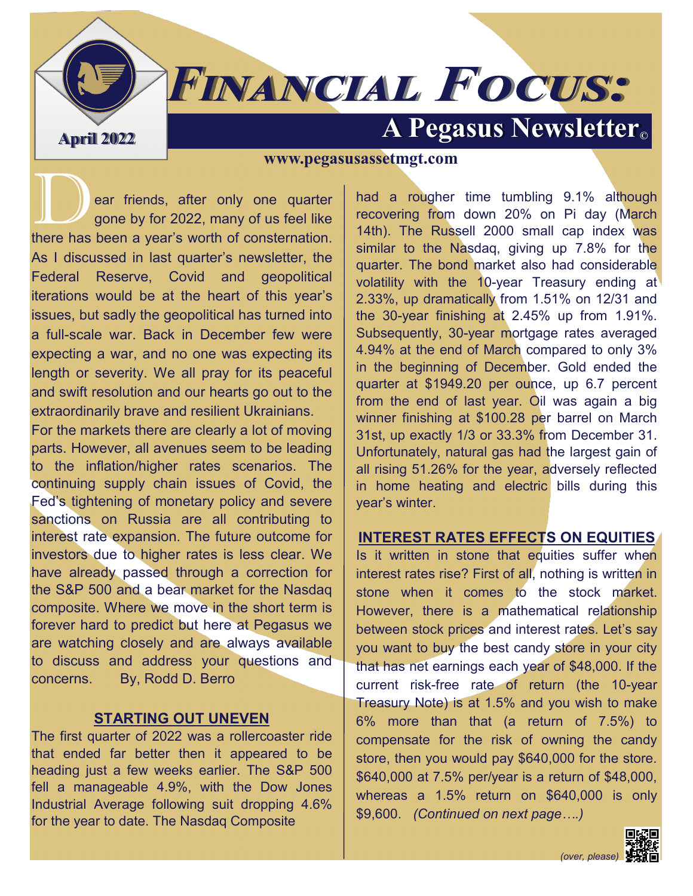# **FINANCIAL FOCUS:**

## **April 2022 A Pegasus Newsletter**

#### **www.pegasusassetmgt.com**

ear friends, after only one quarter gone by for 2022, many of us feel like there has been a year's worth of consternation. As I discussed in last quarter's newsletter, the Federal Reserve, Covid and geopolitical iterations would be at the heart of this year's issues, but sadly the geopolitical has turned into a full-scale war. Back in December few were expecting a war, and no one was expecting its length or severity. We all pray for its peaceful and swift resolution and our hearts go out to the extraordinarily brave and resilient Ukrainians.

For the markets there are clearly a lot of moving parts. However, all avenues seem to be leading to the inflation/higher rates scenarios. The continuing supply chain issues of Covid, the Fed's tightening of monetary policy and severe sanctions on Russia are all contributing to interest rate expansion. The future outcome for investors due to higher rates is less clear. We have already passed through a correction for the S&P 500 and a bear market for the Nasdaq composite. Where we move in the short term is forever hard to predict but here at Pegasus we are watching closely and are always available to discuss and address your questions and concerns. By, Rodd D. Berro

#### **STARTING OUT UNEVEN**

The first quarter of 2022 was a rollercoaster ride that ended far better then it appeared to be heading just a few weeks earlier. The S&P 500 fell a manageable 4.9%, with the Dow Jones Industrial Average following suit dropping 4.6% for the year to date. The Nasdaq Composite

had a rougher time tumbling 9.1% although recovering from down 20% on Pi day (March 14th). The Russell 2000 small cap index was similar to the Nasdaq, giving up 7.8% for the quarter. The bond market also had considerable volatility with the 10-year Treasury ending at 2.33%, up dramatically from 1.51% on 12/31 and the 30-year finishing at 2.45% up from 1.91%. Subsequently, 30-year mortgage rates averaged 4.94% at the end of March compared to only 3% in the beginning of December. Gold ended the quarter at \$1949.20 per ounce, up 6.7 percent from the end of last year. Oil was again a big winner finishing at \$100.28 per barrel on March 31st, up exactly 1/3 or 33.3% from December 31. Unfortunately, natural gas had the largest gain of all rising 51.26% for the year, adversely reflected in home heating and electric bills during this year's winter.

#### **INTEREST RATES EFFECTS ON EQUITIES**

Is it written in stone that equities suffer when interest rates rise? First of all, nothing is written in stone when it comes to the stock market. However, there is a mathematical relationship between stock prices and interest rates. Let's say you want to buy the best candy store in your city that has net earnings each year of \$48,000. If the current risk-free rate of return (the 10-year Treasury Note) is at 1.5% and you wish to make 6% more than that (a return of 7.5%) to compensate for the risk of owning the candy store, then you would pay \$640,000 for the store. \$640,000 at 7.5% per/year is a return of \$48,000, whereas a 1.5% return on \$640,000 is only \$9,600. *(Continued on next page….)*